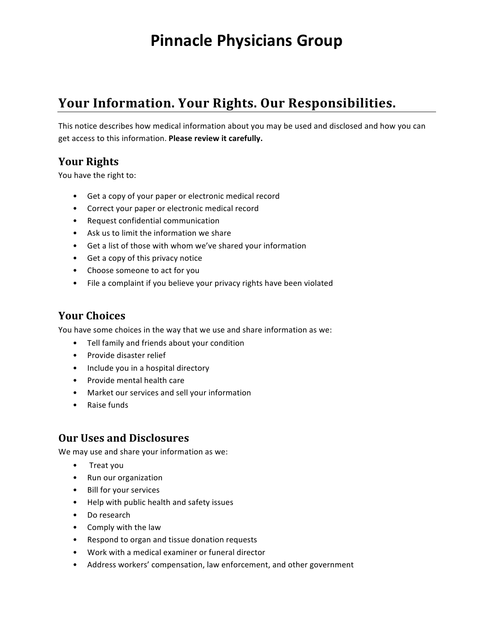## Your Information. Your Rights. Our Responsibilities.

This notice describes how medical information about you may be used and disclosed and how you can get access to this information. Please review it carefully.

## **Your Rights**

You have the right to:

- Get a copy of your paper or electronic medical record
- Correct your paper or electronic medical record
- Request confidential communication
- Ask us to limit the information we share
- Get a list of those with whom we've shared your information
- Get a copy of this privacy notice
- Choose someone to act for you
- File a complaint if you believe your privacy rights have been violated

## **Your Choices**

You have some choices in the way that we use and share information as we:

- Tell family and friends about your condition
- Provide disaster relief
- Include you in a hospital directory
- Provide mental health care
- Market our services and sell your information
- $\bullet$  Raise funds

## **Our Uses and Disclosures**

We may use and share your information as we:

- Treat you
- Run our organization
- Bill for your services
- Help with public health and safety issues
- Do research
- Comply with the law
- Respond to organ and tissue donation requests
- Work with a medical examiner or funeral director
- Address workers' compensation, law enforcement, and other government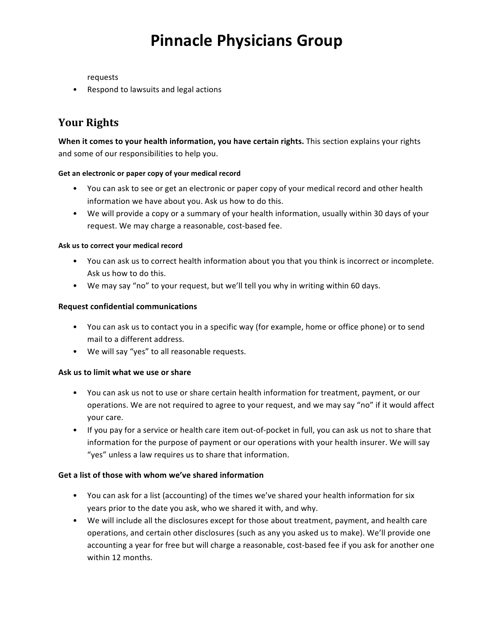requests

• Respond to lawsuits and legal actions

## **Your Rights**

When it comes to your health information, you have certain rights. This section explains your rights and some of our responsibilities to help you.

### Get an electronic or paper copy of your medical record

- You can ask to see or get an electronic or paper copy of your medical record and other health information we have about you. Ask us how to do this.
- We will provide a copy or a summary of your health information, usually within 30 days of your request. We may charge a reasonable, cost-based fee.

#### Ask us to correct your medical record

- You can ask us to correct health information about you that you think is incorrect or incomplete. Ask us how to do this.
- We may say "no" to your request, but we'll tell you why in writing within 60 days.

### **Request confidential communications**

- You can ask us to contact you in a specific way (for example, home or office phone) or to send mail to a different address.
- We will say "yes" to all reasonable requests.

### Ask us to limit what we use or share

- You can ask us not to use or share certain health information for treatment, payment, or our operations. We are not required to agree to your request, and we may say "no" if it would affect your care.
- If you pay for a service or health care item out-of-pocket in full, you can ask us not to share that information for the purpose of payment or our operations with your health insurer. We will say "yes" unless a law requires us to share that information.

### Get a list of those with whom we've shared information

- You can ask for a list (accounting) of the times we've shared your health information for six years prior to the date you ask, who we shared it with, and why.
- We will include all the disclosures except for those about treatment, payment, and health care operations, and certain other disclosures (such as any you asked us to make). We'll provide one accounting a year for free but will charge a reasonable, cost-based fee if you ask for another one within 12 months.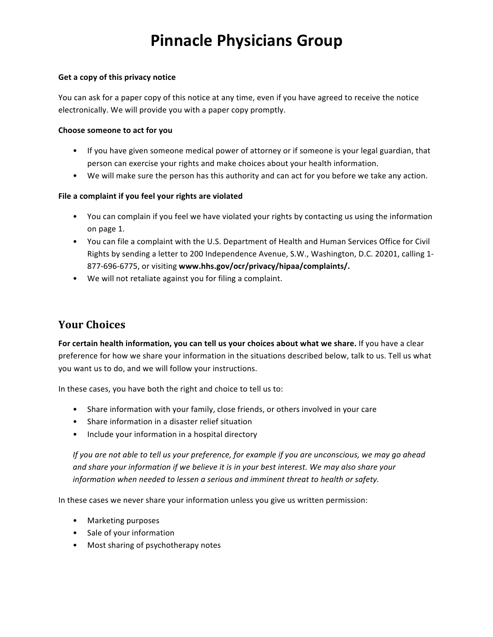#### **Get a copy of this privacy notice**

You can ask for a paper copy of this notice at any time, even if you have agreed to receive the notice electronically. We will provide you with a paper copy promptly.

#### **Choose someone to act for you**

- If you have given someone medical power of attorney or if someone is your legal guardian, that person can exercise your rights and make choices about your health information.
- We will make sure the person has this authority and can act for you before we take any action.

### File a complaint if you feel your rights are violated

- You can complain if you feel we have violated your rights by contacting us using the information on page 1.
- You can file a complaint with the U.S. Department of Health and Human Services Office for Civil Rights by sending a letter to 200 Independence Avenue, S.W., Washington, D.C. 20201, calling 1-877-696-6775, or visiting www.hhs.gov/ocr/privacy/hipaa/complaints/.
- We will not retaliate against you for filing a complaint.

## **Your Choices**

For certain health information, you can tell us your choices about what we share. If you have a clear preference for how we share your information in the situations described below, talk to us. Tell us what you want us to do, and we will follow your instructions.

In these cases, you have both the right and choice to tell us to:

- Share information with your family, close friends, or others involved in your care
- Share information in a disaster relief situation
- Include your information in a hospital directory

*If* you are not able to tell us your preference, for example if you are unconscious, we may go ahead and share your information if we believe it is in your best interest. We may also share your *information* when needed to lessen a serious and imminent threat to health or safety.

In these cases we never share your information unless you give us written permission:

- Marketing purposes
- Sale of your information
- Most sharing of psychotherapy notes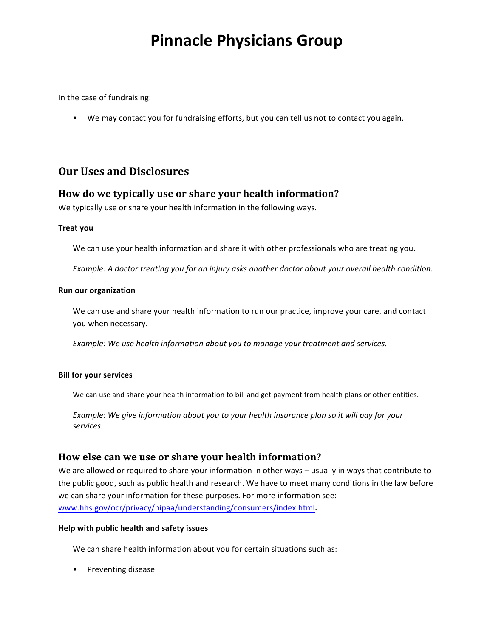In the case of fundraising:

• We may contact you for fundraising efforts, but you can tell us not to contact you again.

## **Our Uses and Disclosures**

## How do we typically use or share your health information?

We typically use or share your health information in the following ways.

### **Treat you**

We can use your health information and share it with other professionals who are treating you.

*Example:* A doctor treating you for an injury asks another doctor about your overall health condition.

### **Run our organization**

We can use and share your health information to run our practice, improve your care, and contact you when necessary.

*Example:* We use health information about you to manage your treatment and services.

## **Bill for your services**

We can use and share your health information to bill and get payment from health plans or other entities.

*Example:* We give information about you to your health insurance plan so it will pay for your *services.* 

## How else can we use or share your health information?

We are allowed or required to share your information in other ways – usually in ways that contribute to the public good, such as public health and research. We have to meet many conditions in the law before we can share your information for these purposes. For more information see: www.hhs.gov/ocr/privacy/hipaa/understanding/consumers/index.html**.**

## **Help with public health and safety issues**

We can share health information about you for certain situations such as:

• Preventing disease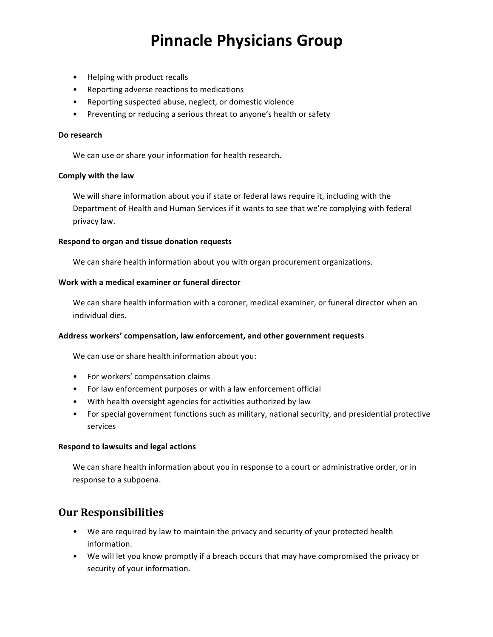- Helping with product recalls
- Reporting adverse reactions to medications
- Reporting suspected abuse, neglect, or domestic violence
- Preventing or reducing a serious threat to anyone's health or safety

#### **Do research**

We can use or share your information for health research.

#### **Comply with the law**

We will share information about you if state or federal laws require it, including with the Department of Health and Human Services if it wants to see that we're complying with federal privacy law.

#### **Respond to organ and tissue donation requests**

We can share health information about you with organ procurement organizations.

#### **Work with a medical examiner or funeral director**

We can share health information with a coroner, medical examiner, or funeral director when an individual dies.

### Address workers' compensation, law enforcement, and other government requests

We can use or share health information about you:

- For workers' compensation claims
- For law enforcement purposes or with a law enforcement official
- With health oversight agencies for activities authorized by law
- For special government functions such as military, national security, and presidential protective services

#### **Respond to lawsuits and legal actions**

We can share health information about you in response to a court or administrative order, or in response to a subpoena.

## **Our Responsibilities**

- We are required by law to maintain the privacy and security of your protected health information.
- We will let you know promptly if a breach occurs that may have compromised the privacy or security of your information.